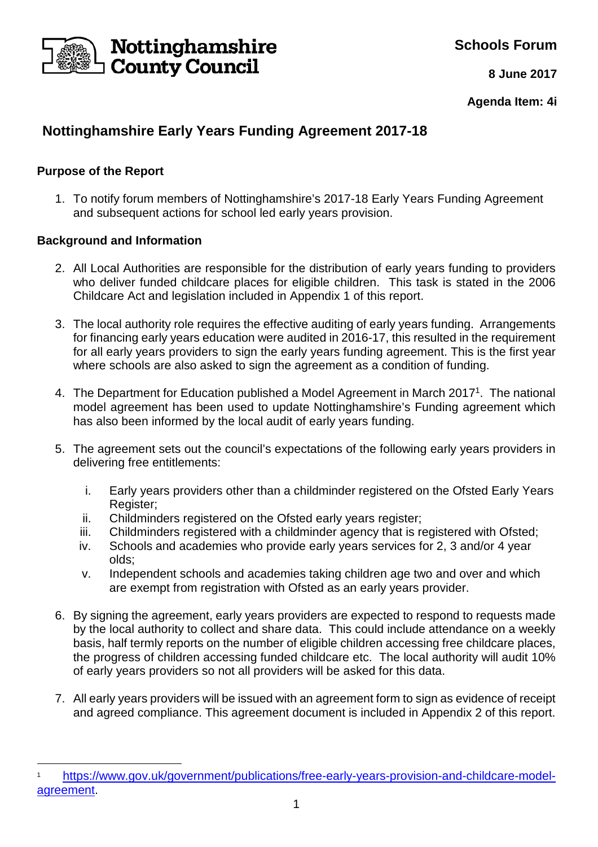

**Schools Forum**

**8 June 2017**

**Agenda Item: 4i**

# **Nottinghamshire Early Years Funding Agreement 2017-18**

## **Purpose of the Report**

l

1. To notify forum members of Nottinghamshire's 2017-18 Early Years Funding Agreement and subsequent actions for school led early years provision.

## **Background and Information**

- 2. All Local Authorities are responsible for the distribution of early years funding to providers who deliver funded childcare places for eligible children. This task is stated in the 2006 Childcare Act and legislation included in Appendix 1 of this report.
- 3. The local authority role requires the effective auditing of early years funding. Arrangements for financing early years education were audited in 2016-17, this resulted in the requirement for all early years providers to sign the early years funding agreement. This is the first year where schools are also asked to sign the agreement as a condition of funding.
- 4. The Department for Education published a Model Agreement in March 2017<sup>1</sup>. The national model agreement has been used to update Nottinghamshire's Funding agreement which has also been informed by the local audit of early years funding.
- 5. The agreement sets out the council's expectations of the following early years providers in delivering free entitlements:
	- i. Early years providers other than a childminder registered on the Ofsted Early Years Register;
	- ii. Childminders registered on the Ofsted early years register;
	- iii. Childminders registered with a childminder agency that is registered with Ofsted;
	- iv. Schools and academies who provide early years services for 2, 3 and/or 4 year olds;
	- v. Independent schools and academies taking children age two and over and which are exempt from registration with Ofsted as an early years provider.
- 6. By signing the agreement, early years providers are expected to respond to requests made by the local authority to collect and share data. This could include attendance on a weekly basis, half termly reports on the number of eligible children accessing free childcare places, the progress of children accessing funded childcare etc. The local authority will audit 10% of early years providers so not all providers will be asked for this data.
- 7. All early years providers will be issued with an agreement form to sign as evidence of receipt and agreed compliance. This agreement document is included in Appendix 2 of this report.

<sup>1</sup> https://www.gov.uk/government/publications/free-early-years-provision-and-childcare-modelagreement.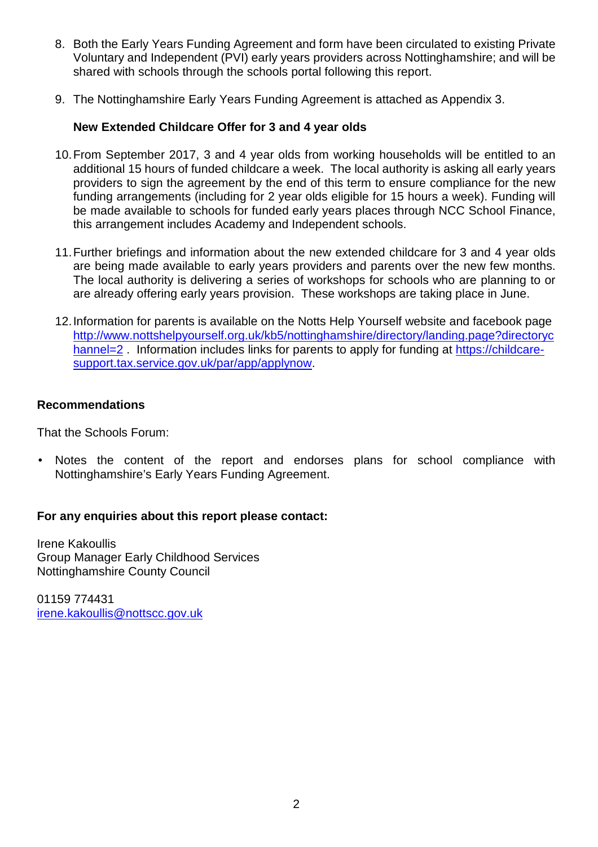- 8. Both the Early Years Funding Agreement and form have been circulated to existing Private Voluntary and Independent (PVI) early years providers across Nottinghamshire; and will be shared with schools through the schools portal following this report.
- 9. The Nottinghamshire Early Years Funding Agreement is attached as Appendix 3.

### **New Extended Childcare Offer for 3 and 4 year olds**

- 10. From September 2017, 3 and 4 year olds from working households will be entitled to an additional 15 hours of funded childcare a week. The local authority is asking all early years providers to sign the agreement by the end of this term to ensure compliance for the new funding arrangements (including for 2 year olds eligible for 15 hours a week). Funding will be made available to schools for funded early years places through NCC School Finance, this arrangement includes Academy and Independent schools.
- 11. Further briefings and information about the new extended childcare for 3 and 4 year olds are being made available to early years providers and parents over the new few months. The local authority is delivering a series of workshops for schools who are planning to or are already offering early years provision. These workshops are taking place in June.
- 12. Information for parents is available on the Notts Help Yourself website and facebook page http://www.nottshelpyourself.org.uk/kb5/nottinghamshire/directory/landing.page?directoryc hannel=2. Information includes links for parents to apply for funding at https://childcaresupport.tax.service.gov.uk/par/app/applynow.

#### **Recommendations**

That the Schools Forum:

Notes the content of the report and endorses plans for school compliance with Nottinghamshire's Early Years Funding Agreement.

#### **For any enquiries about this report please contact:**

Irene Kakoullis Group Manager Early Childhood Services Nottinghamshire County Council

01159 774431 irene.kakoullis@nottscc.gov.uk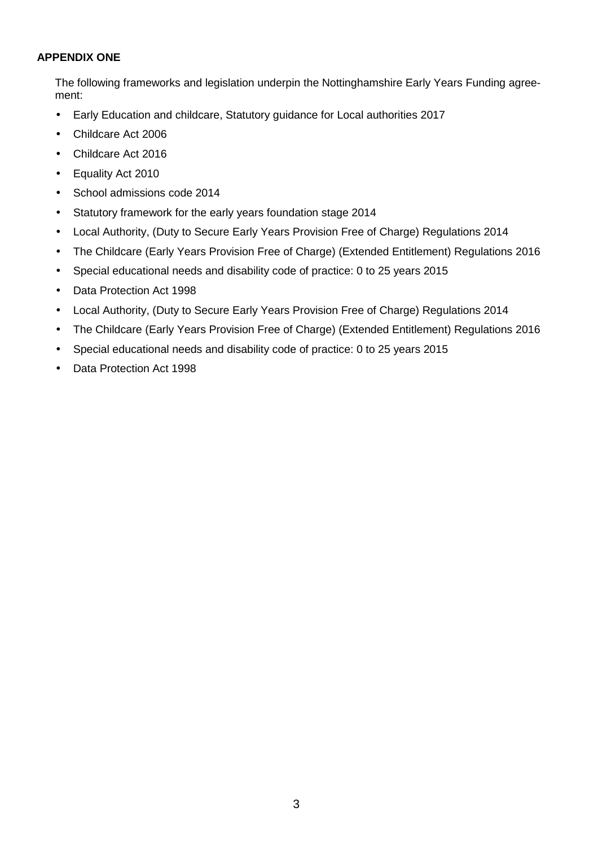#### **APPENDIX ONE**

The following frameworks and legislation underpin the Nottinghamshire Early Years Funding agreement:

- Early Education and childcare, Statutory guidance for Local authorities 2017
- Childcare Act 2006
- Childcare Act 2016
- Equality Act 2010
- School admissions code 2014
- Statutory framework for the early years foundation stage 2014
- Local Authority, (Duty to Secure Early Years Provision Free of Charge) Regulations 2014
- The Childcare (Early Years Provision Free of Charge) (Extended Entitlement) Regulations 2016
- Special educational needs and disability code of practice: 0 to 25 years 2015
- Data Protection Act 1998
- Local Authority, (Duty to Secure Early Years Provision Free of Charge) Regulations 2014
- The Childcare (Early Years Provision Free of Charge) (Extended Entitlement) Regulations 2016
- Special educational needs and disability code of practice: 0 to 25 years 2015
- Data Protection Act 1998